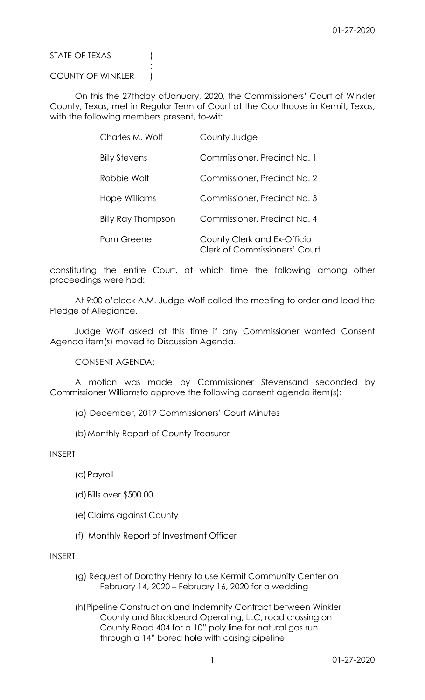STATE OF TEXAS (1)

COUNTY OF WINKLER )

**Service State State State State** 

 On this the 27thday ofJanuary, 2020, the Commissioners' Court of Winkler County, Texas, met in Regular Term of Court at the Courthouse in Kermit, Texas, with the following members present, to-wit:

| Charles M. Wolf           | County Judge                                                        |
|---------------------------|---------------------------------------------------------------------|
| <b>Billy Stevens</b>      | Commissioner, Precinct No. 1                                        |
| Robbie Wolf               | Commissioner, Precinct No. 2                                        |
| Hope Williams             | Commissioner, Precinct No. 3                                        |
| <b>Billy Ray Thompson</b> | Commissioner, Precinct No. 4                                        |
| Pam Greene                | County Clerk and Ex-Officio<br><b>Clerk of Commissioners' Court</b> |

constituting the entire Court, at which time the following among other proceedings were had:

 At 9:00 o'clock A.M. Judge Wolf called the meeting to order and lead the Pledge of Allegiance.

 Judge Wolf asked at this time if any Commissioner wanted Consent Agenda item(s) moved to Discussion Agenda.

CONSENT AGENDA:

 A motion was made by Commissioner Stevensand seconded by Commissioner Williamsto approve the following consent agenda item(s):

- (a) December, 2019 Commissioners' Court Minutes
- (b)Monthly Report of County Treasurer

INSERT

(c)Payroll

- (d)Bills over \$500.00
- (e)Claims against County
- (f) Monthly Report of Investment Officer

INSERT

 (g) Request of Dorothy Henry to use Kermit Community Center on February 14, 2020 – February 16, 2020 for a wedding

 (h)Pipeline Construction and Indemnity Contract between Winkler County and Blackbeard Operating, LLC, road crossing on County Road 404 for a 10" poly line for natural gas run through a 14" bored hole with casing pipeline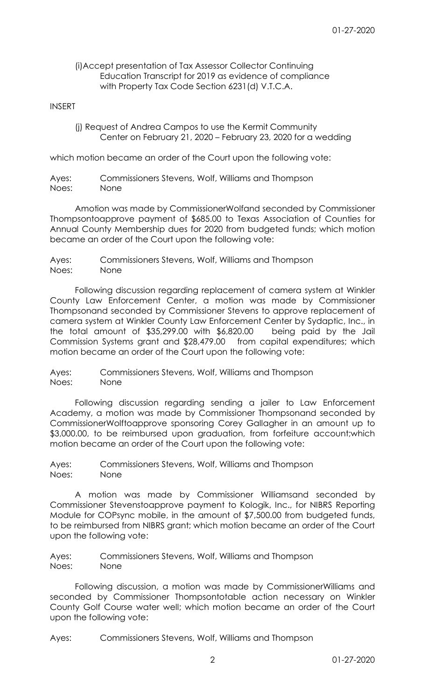## (i)Accept presentation of Tax Assessor Collector Continuing Education Transcript for 2019 as evidence of compliance with Property Tax Code Section 6231(d) V.T.C.A.

## INSERT

 (j) Request of Andrea Campos to use the Kermit Community Center on February 21, 2020 – February 23, 2020 for a wedding

which motion became an order of the Court upon the following vote:

Ayes: Commissioners Stevens, Wolf, Williams and Thompson Noes: None

 Amotion was made by CommissionerWolfand seconded by Commissioner Thompsontoapprove payment of \$685.00 to Texas Association of Counties for Annual County Membership dues for 2020 from budgeted funds; which motion became an order of the Court upon the following vote:

Ayes: Commissioners Stevens, Wolf, Williams and Thompson Noes: None

 Following discussion regarding replacement of camera system at Winkler County Law Enforcement Center, a motion was made by Commissioner Thompsonand seconded by Commissioner Stevens to approve replacement of camera system at Winkler County Law Enforcement Center by Sydaptic, Inc., in the total amount of \$35,299.00 with \$6,820.00 being paid by the Jail Commission Systems grant and \$28,479.00 from capital expenditures; which motion became an order of the Court upon the following vote:

Ayes: Commissioners Stevens, Wolf, Williams and Thompson Noes: None

 Following discussion regarding sending a jailer to Law Enforcement Academy, a motion was made by Commissioner Thompsonand seconded by CommissionerWolftoapprove sponsoring Corey Gallagher in an amount up to \$3,000.00, to be reimbursed upon graduation, from forfeiture account; which motion became an order of the Court upon the following vote:

Ayes: Commissioners Stevens, Wolf, Williams and Thompson Noes: None

 A motion was made by Commissioner Williamsand seconded by Commissioner Stevenstoapprove payment to Kologik, Inc., for NIBRS Reporting Module for COPsync mobile, in the amount of \$7,500.00 from budgeted funds, to be reimbursed from NIBRS grant; which motion became an order of the Court upon the following vote:

Ayes: Commissioners Stevens, Wolf, Williams and Thompson Noes: None

 Following discussion, a motion was made by CommissionerWilliams and seconded by Commissioner Thompsontotable action necessary on Winkler County Golf Course water well; which motion became an order of the Court upon the following vote:

Ayes: Commissioners Stevens, Wolf, Williams and Thompson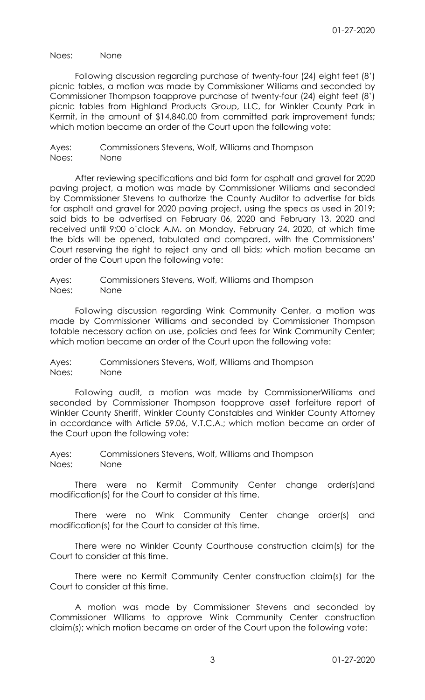Noes: None

 Following discussion regarding purchase of twenty-four (24) eight feet (8') picnic tables, a motion was made by Commissioner Williams and seconded by Commissioner Thompson toapprove purchase of twenty-four (24) eight feet (8') picnic tables from Highland Products Group, LLC, for Winkler County Park in Kermit, in the amount of \$14,840.00 from committed park improvement funds; which motion became an order of the Court upon the following vote:

Ayes: Commissioners Stevens, Wolf, Williams and Thompson Noes: None

After reviewing specifications and bid form for asphalt and gravel for 2020 paving project, a motion was made by Commissioner Williams and seconded by Commissioner Stevens to authorize the County Auditor to advertise for bids for asphalt and gravel for 2020 paving project, using the specs as used in 2019; said bids to be advertised on February 06, 2020 and February 13, 2020 and received until 9:00 o'clock A.M. on Monday, February 24, 2020, at which time the bids will be opened, tabulated and compared, with the Commissioners' Court reserving the right to reject any and all bids; which motion became an order of the Court upon the following vote:

Ayes: Commissioners Stevens, Wolf, Williams and Thompson Noes: None

 Following discussion regarding Wink Community Center, a motion was made by Commissioner Williams and seconded by Commissioner Thompson totable necessary action on use, policies and fees for Wink Community Center; which motion became an order of the Court upon the following vote:

Ayes: Commissioners Stevens, Wolf, Williams and Thompson Noes: None

 Following audit, a motion was made by CommissionerWilliams and seconded by Commissioner Thompson toapprove asset forfeiture report of Winkler County Sheriff, Winkler County Constables and Winkler County Attorney in accordance with Article 59.06, V.T.C.A.; which motion became an order of the Court upon the following vote:

Ayes: Commissioners Stevens, Wolf, Williams and Thompson Noes: None

 There were no Kermit Community Center change order(s)and modification(s) for the Court to consider at this time.

 There were no Wink Community Center change order(s) and modification(s) for the Court to consider at this time.

 There were no Winkler County Courthouse construction claim(s) for the Court to consider at this time.

 There were no Kermit Community Center construction claim(s) for the Court to consider at this time.

 A motion was made by Commissioner Stevens and seconded by Commissioner Williams to approve Wink Community Center construction claim(s); which motion became an order of the Court upon the following vote: